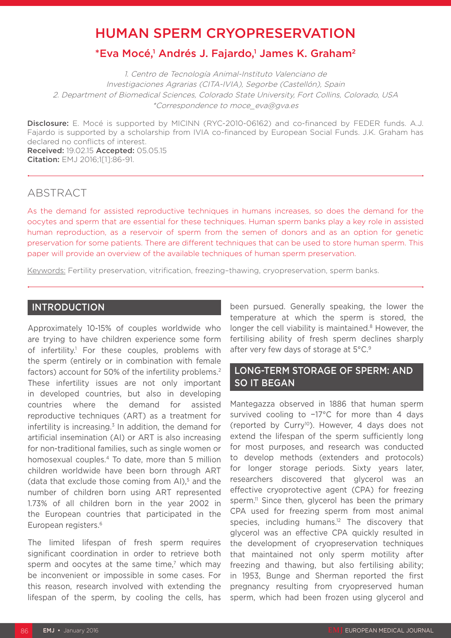# HUMAN SPERM CRYOPRESERVATION

# \*Eva Mocé,<sup>1</sup> Andrés J. Fajardo,<sup>1</sup> James K. Graham<sup>2</sup>

1. Centro de Tecnología Animal-Instituto Valenciano de Investigaciones Agrarias (CITA-IVIA), Segorbe (Castellón), Spain 2. Department of Biomedical Sciences, Colorado State University, Fort Collins, Colorado, USA \*Correspondence to moce\_eva@gva.es

Disclosure: E. Mocé is supported by MICINN (RYC-2010-06162) and co-financed by FEDER funds. A.J. Fajardo is supported by a scholarship from IVIA co-financed by European Social Funds. J.K. Graham has declared no conflicts of interest. Received: 19.02.15 Accepted: 05.05.15

Citation: EMJ 2016;1[1]:86-91.

# ABSTRACT

As the demand for assisted reproductive techniques in humans increases, so does the demand for the oocytes and sperm that are essential for these techniques. Human sperm banks play a key role in assisted human reproduction, as a reservoir of sperm from the semen of donors and as an option for genetic preservation for some patients. There are different techniques that can be used to store human sperm. This paper will provide an overview of the available techniques of human sperm preservation.

Keywords: Fertility preservation, vitrification, freezing–thawing, cryopreservation, sperm banks.

## INTRODUCTION

Approximately 10-15% of couples worldwide who are trying to have children experience some form of infertility.<sup>1</sup> For these couples, problems with the sperm (entirely or in combination with female factors) account for 50% of the infertility problems.<sup>2</sup> These infertility issues are not only important in developed countries, but also in developing countries where the demand for assisted reproductive techniques (ART) as a treatment for infertility is increasing. $3$  In addition, the demand for artificial insemination (AI) or ART is also increasing for non-traditional families, such as single women or homosexual couples.4 To date, more than 5 million children worldwide have been born through ART (data that exclude those coming from AI),<sup>5</sup> and the number of children born using ART represented 1.73% of all children born in the year 2002 in the European countries that participated in the European registers.6

The limited lifespan of fresh sperm requires significant coordination in order to retrieve both sperm and oocytes at the same time,<sup>7</sup> which may be inconvenient or impossible in some cases. For this reason, research involved with extending the lifespan of the sperm, by cooling the cells, has

been pursued. Generally speaking, the lower the temperature at which the sperm is stored, the longer the cell viability is maintained.<sup>8</sup> However, the fertilising ability of fresh sperm declines sharply after very few days of storage at 5°C.9

## LONG-TERM STORAGE OF SPERM: AND SO IT BEGAN

Mantegazza observed in 1886 that human sperm survived cooling to −17°C for more than 4 days (reported by Curry10). However, 4 days does not extend the lifespan of the sperm sufficiently long for most purposes, and research was conducted to develop methods (extenders and protocols) for longer storage periods. Sixty years later, researchers discovered that glycerol was an effective cryoprotective agent (CPA) for freezing sperm.<sup>11</sup> Since then, glycerol has been the primary CPA used for freezing sperm from most animal species, including humans.<sup>12</sup> The discovery that glycerol was an effective CPA quickly resulted in the development of cryopreservation techniques that maintained not only sperm motility after freezing and thawing, but also fertilising ability; in 1953, Bunge and Sherman reported the first pregnancy resulting from cryopreserved human sperm, which had been frozen using glycerol and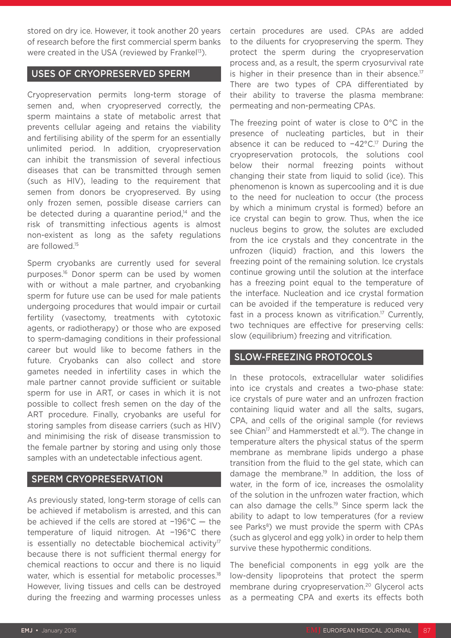stored on dry ice. However, it took another 20 years of research before the first commercial sperm banks were created in the USA (reviewed by Frankel $13$ ).

#### USES OF CRYOPRESERVED SPERM

Cryopreservation permits long-term storage of semen and, when cryopreserved correctly, the sperm maintains a state of metabolic arrest that prevents cellular ageing and retains the viability and fertilising ability of the sperm for an essentially unlimited period. In addition, cryopreservation can inhibit the transmission of several infectious diseases that can be transmitted through semen (such as HIV), leading to the requirement that semen from donors be cryopreserved. By using only frozen semen, possible disease carriers can be detected during a quarantine period, $14$  and the risk of transmitting infectious agents is almost non-existent as long as the safety regulations are followed.15

Sperm cryobanks are currently used for several purposes.16 Donor sperm can be used by women with or without a male partner, and cryobanking sperm for future use can be used for male patients undergoing procedures that would impair or curtail fertility (vasectomy, treatments with cytotoxic agents, or radiotherapy) or those who are exposed to sperm-damaging conditions in their professional career but would like to become fathers in the future. Cryobanks can also collect and store gametes needed in infertility cases in which the male partner cannot provide sufficient or suitable sperm for use in ART, or cases in which it is not possible to collect fresh semen on the day of the ART procedure. Finally, cryobanks are useful for storing samples from disease carriers (such as HIV) and minimising the risk of disease transmission to the female partner by storing and using only those samples with an undetectable infectious agent.

#### SPERM CRYOPRESERVATION

As previously stated, long-term storage of cells can be achieved if metabolism is arrested, and this can be achieved if the cells are stored at −196°C — the temperature of liquid nitrogen. At −196°C there is essentially no detectable biochemical activity $17$ because there is not sufficient thermal energy for chemical reactions to occur and there is no liquid water, which is essential for metabolic processes.<sup>18</sup> However, living tissues and cells can be destroyed during the freezing and warming processes unless certain procedures are used. CPAs are added to the diluents for cryopreserving the sperm. They protect the sperm during the cryopreservation process and, as a result, the sperm cryosurvival rate is higher in their presence than in their absence.<sup>17</sup> There are two types of CPA differentiated by their ability to traverse the plasma membrane: permeating and non-permeating CPAs.

The freezing point of water is close to 0°C in the presence of nucleating particles, but in their absence it can be reduced to −42°C.17 During the cryopreservation protocols, the solutions cool below their normal freezing points without changing their state from liquid to solid (ice). This phenomenon is known as supercooling and it is due to the need for nucleation to occur (the process by which a minimum crystal is formed) before an ice crystal can begin to grow. Thus, when the ice nucleus begins to grow, the solutes are excluded from the ice crystals and they concentrate in the unfrozen (liquid) fraction, and this lowers the freezing point of the remaining solution. Ice crystals continue growing until the solution at the interface has a freezing point equal to the temperature of the interface. Nucleation and ice crystal formation can be avoided if the temperature is reduced very fast in a process known as vitrification.<sup>17</sup> Currently, two techniques are effective for preserving cells: slow (equilibrium) freezing and vitrification.

#### SLOW-FREEZING PROTOCOLS

In these protocols, extracellular water solidifies into ice crystals and creates a two-phase state: ice crystals of pure water and an unfrozen fraction containing liquid water and all the salts, sugars, CPA, and cells of the original sample (for reviews see Chian<sup>17</sup> and Hammerstedt et al.<sup>19</sup>). The change in temperature alters the physical status of the sperm membrane as membrane lipids undergo a phase transition from the fluid to the gel state, which can damage the membrane.19 In addition, the loss of water, in the form of ice, increases the osmolality of the solution in the unfrozen water fraction, which can also damage the cells.<sup>19</sup> Since sperm lack the ability to adapt to low temperatures (for a review see Parks<sup>8</sup>) we must provide the sperm with CPAs (such as glycerol and egg yolk) in order to help them survive these hypothermic conditions.

The beneficial components in egg yolk are the low-density lipoproteins that protect the sperm membrane during cryopreservation.<sup>20</sup> Glycerol acts as a permeating CPA and exerts its effects both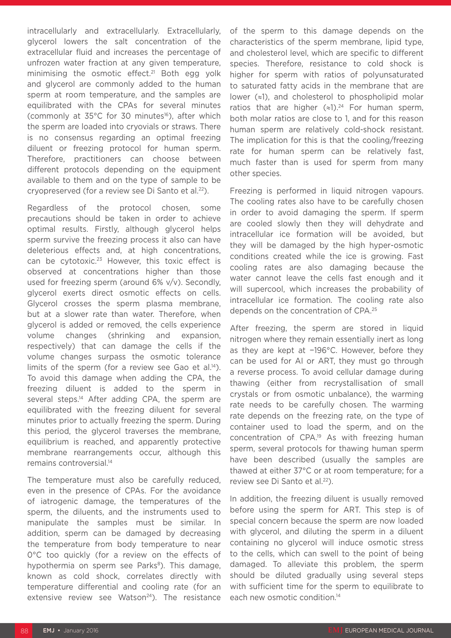intracellularly and extracellularly. Extracellularly, glycerol lowers the salt concentration of the extracellular fluid and increases the percentage of unfrozen water fraction at any given temperature, minimising the osmotic effect.<sup>21</sup> Both egg yolk and glycerol are commonly added to the human sperm at room temperature, and the samples are equilibrated with the CPAs for several minutes (commonly at  $35^{\circ}$ C for 30 minutes<sup>16</sup>), after which the sperm are loaded into cryovials or straws. There is no consensus regarding an optimal freezing diluent or freezing protocol for human sperm. Therefore, practitioners can choose between different protocols depending on the equipment available to them and on the type of sample to be cryopreserved (for a review see Di Santo et al.<sup>22</sup>).

Regardless of the protocol chosen, some precautions should be taken in order to achieve optimal results. Firstly, although glycerol helps sperm survive the freezing process it also can have deleterious effects and, at high concentrations, can be cytotoxic.<sup>23</sup> However, this toxic effect is observed at concentrations higher than those used for freezing sperm (around 6% v/v). Secondly, glycerol exerts direct osmotic effects on cells. Glycerol crosses the sperm plasma membrane, but at a slower rate than water. Therefore, when glycerol is added or removed, the cells experience volume changes (shrinking and expansion, respectively) that can damage the cells if the volume changes surpass the osmotic tolerance limits of the sperm (for a review see Gao et al.<sup>14</sup>). To avoid this damage when adding the CPA, the freezing diluent is added to the sperm in several steps.<sup>14</sup> After adding CPA, the sperm are equilibrated with the freezing diluent for several minutes prior to actually freezing the sperm. During this period, the glycerol traverses the membrane, equilibrium is reached, and apparently protective membrane rearrangements occur, although this remains controversial.14

The temperature must also be carefully reduced, even in the presence of CPAs. For the avoidance of iatrogenic damage, the temperatures of the sperm, the diluents, and the instruments used to manipulate the samples must be similar. In addition, sperm can be damaged by decreasing the temperature from body temperature to near 0°C too quickly (for a review on the effects of hypothermia on sperm see Parks<sup>8</sup>). This damage, known as cold shock, correlates directly with temperature differential and cooling rate (for an extensive review see Watson<sup>24</sup>). The resistance

of the sperm to this damage depends on the characteristics of the sperm membrane, lipid type, and cholesterol level, which are specific to different species. Therefore, resistance to cold shock is higher for sperm with ratios of polyunsaturated to saturated fatty acids in the membrane that are lower (≈1), and cholesterol to phospholipid molar ratios that are higher  $(\approx 1).^{24}$  For human sperm, both molar ratios are close to 1, and for this reason human sperm are relatively cold-shock resistant. The implication for this is that the cooling/freezing rate for human sperm can be relatively fast, much faster than is used for sperm from many other species.

Freezing is performed in liquid nitrogen vapours. The cooling rates also have to be carefully chosen in order to avoid damaging the sperm. If sperm are cooled slowly then they will dehydrate and intracellular ice formation will be avoided, but they will be damaged by the high hyper-osmotic conditions created while the ice is growing. Fast cooling rates are also damaging because the water cannot leave the cells fast enough and it will supercool, which increases the probability of intracellular ice formation. The cooling rate also depends on the concentration of CPA.25

After freezing, the sperm are stored in liquid nitrogen where they remain essentially inert as long as they are kept at −196°C. However, before they can be used for AI or ART, they must go through a reverse process. To avoid cellular damage during thawing (either from recrystallisation of small crystals or from osmotic unbalance), the warming rate needs to be carefully chosen. The warming rate depends on the freezing rate, on the type of container used to load the sperm, and on the concentration of CPA.19 As with freezing human sperm, several protocols for thawing human sperm have been described (usually the samples are thawed at either 37°C or at room temperature; for a review see Di Santo et al.<sup>22</sup>).

In addition, the freezing diluent is usually removed before using the sperm for ART. This step is of special concern because the sperm are now loaded with glycerol, and diluting the sperm in a diluent containing no glycerol will induce osmotic stress to the cells, which can swell to the point of being damaged. To alleviate this problem, the sperm should be diluted gradually using several steps with sufficient time for the sperm to equilibrate to each new osmotic condition.<sup>14</sup>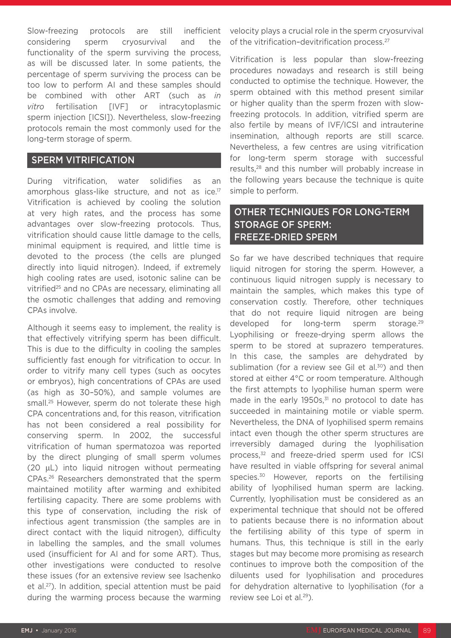Slow-freezing protocols are still inefficient considering sperm cryosurvival and the functionality of the sperm surviving the process, as will be discussed later. In some patients, the percentage of sperm surviving the process can be too low to perform AI and these samples should be combined with other ART (such as *in vitro* fertilisation [IVF] or intracytoplasmic sperm injection [ICSI]). Nevertheless, slow-freezing protocols remain the most commonly used for the long-term storage of sperm.

#### SPERM VITRIFICATION

During vitrification, water solidifies as an amorphous glass-like structure, and not as ice.<sup>17</sup> Vitrification is achieved by cooling the solution at very high rates, and the process has some advantages over slow-freezing protocols. Thus, vitrification should cause little damage to the cells, minimal equipment is required, and little time is devoted to the process (the cells are plunged directly into liquid nitrogen). Indeed, if extremely high cooling rates are used, isotonic saline can be vitrified25 and no CPAs are necessary, eliminating all the osmotic challenges that adding and removing CPAs involve.

Although it seems easy to implement, the reality is that effectively vitrifying sperm has been difficult. This is due to the difficulty in cooling the samples sufficiently fast enough for vitrification to occur. In order to vitrify many cell types (such as oocytes or embryos), high concentrations of CPAs are used (as high as 30–50%), and sample volumes are small.25 However, sperm do not tolerate these high CPA concentrations and, for this reason, vitrification has not been considered a real possibility for conserving sperm. In 2002, the successful vitrification of human spermatozoa was reported by the direct plunging of small sperm volumes (20 µL) into liquid nitrogen without permeating CPAs.26 Researchers demonstrated that the sperm maintained motility after warming and exhibited fertilising capacity. There are some problems with this type of conservation, including the risk of infectious agent transmission (the samples are in direct contact with the liquid nitrogen), difficulty in labelling the samples, and the small volumes used (insufficient for AI and for some ART). Thus, other investigations were conducted to resolve these issues (for an extensive review see Isachenko et al.27). In addition, special attention must be paid during the warming process because the warming

velocity plays a crucial role in the sperm cryosurvival of the vitrification-devitrification process.<sup>27</sup>

Vitrification is less popular than slow-freezing procedures nowadays and research is still being conducted to optimise the technique. However, the sperm obtained with this method present similar or higher quality than the sperm frozen with slowfreezing protocols. In addition, vitrified sperm are also fertile by means of IVF/ICSI and intrauterine insemination, although reports are still scarce. Nevertheless, a few centres are using vitrification for long-term sperm storage with successful results,28 and this number will probably increase in the following years because the technique is quite simple to perform.

# OTHER TECHNIQUES FOR LONG-TERM STORAGE OF SPERM: FREEZE-DRIED SPERM

So far we have described techniques that require liquid nitrogen for storing the sperm. However, a continuous liquid nitrogen supply is necessary to maintain the samples, which makes this type of conservation costly. Therefore, other techniques that do not require liquid nitrogen are being developed for long-term sperm storage.<sup>29</sup> Lyophilising or freeze-drying sperm allows the sperm to be stored at suprazero temperatures. In this case, the samples are dehydrated by sublimation (for a review see Gil et al. $30$ ) and then stored at either 4°C or room temperature. Although the first attempts to lyophilise human sperm were made in the early  $1950s$ , $31$  no protocol to date has succeeded in maintaining motile or viable sperm. Nevertheless, the DNA of lyophilised sperm remains intact even though the other sperm structures are irreversibly damaged during the lyophilisation process,<sup>32</sup> and freeze-dried sperm used for ICSI have resulted in viable offspring for several animal species.<sup>30</sup> However, reports on the fertilising ability of lyophilised human sperm are lacking. Currently, lyophilisation must be considered as an experimental technique that should not be offered to patients because there is no information about the fertilising ability of this type of sperm in humans. Thus, this technique is still in the early stages but may become more promising as research continues to improve both the composition of the diluents used for lyophilisation and procedures for dehydration alternative to lyophilisation (for a review see Loi et al.<sup>29</sup>).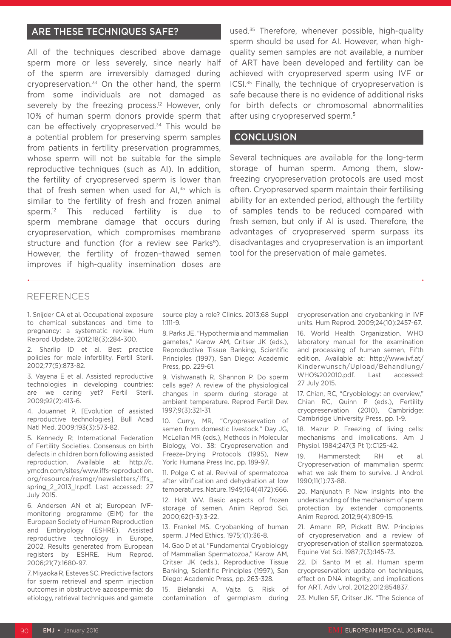### ARE THESE TECHNIQUES SAFE?

All of the techniques described above damage sperm more or less severely, since nearly half of the sperm are irreversibly damaged during cryopreservation.33 On the other hand, the sperm from some individuals are not damaged as severely by the freezing process.<sup>12</sup> However, only 10% of human sperm donors provide sperm that can be effectively cryopreserved.<sup>34</sup> This would be a potential problem for preserving sperm samples from patients in fertility preservation programmes, whose sperm will not be suitable for the simple reproductive techniques (such as AI). In addition, the fertility of cryopreserved sperm is lower than that of fresh semen when used for  $Al<sub>35</sub>$  which is similar to the fertility of fresh and frozen animal sperm.<sup>12</sup> This reduced fertility is due to sperm membrane damage that occurs during cryopreservation, which compromises membrane structure and function (for a review see Parks<sup>8</sup>). However, the fertility of frozen–thawed semen improves if high-quality insemination doses are

used.<sup>35</sup> Therefore, whenever possible, high-quality sperm should be used for AI. However, when highquality semen samples are not available, a number of ART have been developed and fertility can be achieved with cryopreserved sperm using IVF or ICSI.35 Finally, the technique of cryopreservation is safe because there is no evidence of additional risks for birth defects or chromosomal abnormalities after using cryopreserved sperm.5

#### **CONCLUSION**

Several techniques are available for the long-term storage of human sperm. Among them, slowfreezing cryopreservation protocols are used most often. Cryopreserved sperm maintain their fertilising ability for an extended period, although the fertility of samples tends to be reduced compared with fresh semen, but only if AI is used. Therefore, the advantages of cryopreserved sperm surpass its disadvantages and cryopreservation is an important tool for the preservation of male gametes.

#### REFERENCES

1. Snijder CA et al. Occupational exposure to chemical substances and time to pregnancy: a systematic review. Hum Reprod Update. 2012;18(3):284-300.

2. Sharlip ID et al. Best practice policies for male infertility. Fertil Steril. 2002;77(5):873-82.

3. Vayena E et al. Assisted reproductive technologies in developing countries: are we caring yet? Fertil Steril. 2009;92(2):413-6.

4. Jouannet P. [Evolution of assisted reproductive technologies]. Bull Acad Natl Med. 2009;193(3):573-82.

5. Kennedy R; International Federation of Fertility Societies. Consensus on birth defects in children born following assisted reproduction. Available at: http://c. ymcdn.com/sites/www.iffs-reproduction. org/resource/resmgr/newsletters/iffs\_ spring 2 2013 lr.pdf. Last accessed: 27 July 2015.

6. Andersen AN et al; European IVFmonitoring programme (EIM) for the European Society of Human Reproduction and Embryology (ESHRE). Assisted reproductive technology in Europe, 2002. Results generated from European registers by ESHRE. Hum Reprod. 2006;21(7):1680-97.

7. Miyaoka R, Esteves SC. Predictive factors for sperm retrieval and sperm injection outcomes in obstructive azoospermia: do etiology, retrieval techniques and gamete

source play a role? Clinics. 2013;68 Suppl 1:111-9.

8. Parks JE. "Hypothermia and mammalian gametes," Karow AM, Critser JK (eds.), Reproductive Tissue Banking, Scientific Principles (1997), San Diego: Academic Press, pp. 229-61.

9. Vishwanath R, Shannon P. Do sperm cells age? A review of the physiological changes in sperm during storage at ambient temperature. Reprod Fertil Dev. 1997;9(3):321-31.

10. Curry, MR, "Cryopreservation of semen from domestic livestock," Day JG, McLellan MR (eds.), Methods in Molecular Biology, Vol. 38: Cryopreservation and Freeze-Drying Protocols (1995), New York: Humana Press Inc, pp. 189-97.

11. Polge C et al. Revival of spermatozoa after vitrification and dehydration at low temperatures. Nature. 1949;164(4172):666.

12. Holt WV. Basic aspects of frozen storage of semen. Anim Reprod Sci. 2000;62(1-3):3-22.

13. Frankel MS. Cryobanking of human sperm. J Med Ethics. 1975;1(1):36-8.

14. Gao D et al. "Fundamental Cryobiology of Mammalian Spermatozoa," Karow AM, Critser JK (eds.), Reproductive Tissue Banking, Scientific Principles (1997), San Diego: Academic Press, pp. 263-328.

15. Bielanski A, Vajta G. Risk of contamination of germplasm during

cryopreservation and cryobanking in IVF units. Hum Reprod. 2009;24(10):2457-67.

16. World Health Organization. WHO laboratory manual for the examination and processing of human semen, Fifth edition. Available at: http://www.ivf.at/ Kinderwunsch/Upload/Behandlung/ WHO%202010.pdf. Last accessed: 27 July 2015.

17. Chian, RC, "Cryobiology: an overview," Chian RC, Quinn P (eds.), Fertility cryopreservation (2010), Cambridge: Cambridge University Press, pp. 1-9.

18. Mazur P. Freezing of living cells: mechanisms and implications. Am J Physiol. 1984;247(3 Pt 1):C125-42.

19. Hammerstedt RH et al. Cryopreservation of mammalian sperm: what we ask them to survive. J Androl. 1990;11(1):73-88.

20. Manjunath P. New insights into the understanding of the mechanism of sperm protection by extender components. Anim Reprod. 2012;9(4):809-15.

21. Amann RP, Pickett BW. Principles of cryopreservation and a review of cryopreservation of stallion spermatozoa. Equine Vet Sci. 1987;7(3):145-73.

22. Di Santo M et al. Human sperm cryopreservation: update on techniques, effect on DNA integrity, and implications for ART. Adv Urol. 2012;2012:854837.

23. Mullen SF, Critser JK. "The Science of